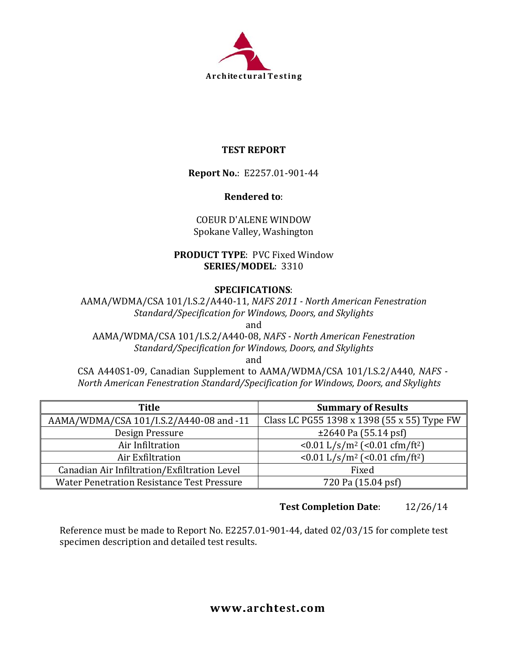

### **TEST REPORT**

**Report No.**: E2257.01-901-44

#### **Rendered to**:

### COEUR D'ALENE WINDOW Spokane Valley, Washington

#### **PRODUCT TYPE**: PVC Fixed Window **SERIES/MODEL**: 3310

#### **SPECIFICATIONS**:

AAMA/WDMA/CSA 101/I.S.2/A440-11, *NAFS 2011 - North American Fenestration Standard/Specification for Windows, Doors, and Skylights*

and

AAMA/WDMA/CSA 101/I.S.2/A440-08, *NAFS - North American Fenestration Standard/Specification for Windows, Doors, and Skylights*

and

CSA A440S1-09, Canadian Supplement to AAMA/WDMA/CSA 101/I.S.2/A440, *NAFS - North American Fenestration Standard/Specification for Windows, Doors, and Skylights*

| <b>Title</b>                                      | <b>Summary of Results</b>                             |
|---------------------------------------------------|-------------------------------------------------------|
| AAMA/WDMA/CSA 101/I.S.2/A440-08 and -11           | Class LC PG55 1398 x 1398 (55 x 55) Type FW           |
| Design Pressure                                   | $\pm 2640$ Pa (55.14 psf)                             |
| Air Infiltration                                  | <0.01 L/s/m <sup>2</sup> (<0.01 cfm/ft <sup>2</sup> ) |
| Air Exfiltration                                  | <0.01 L/s/m <sup>2</sup> (<0.01 cfm/ft <sup>2</sup> ) |
| Canadian Air Infiltration/Exfiltration Level      | Fixed                                                 |
| <b>Water Penetration Resistance Test Pressure</b> | 720 Pa (15.04 psf)                                    |

# **Test Completion Date**: 12/26/14

Reference must be made to Report No. E2257.01-901-44, dated 02/03/15 for complete test specimen description and detailed test results.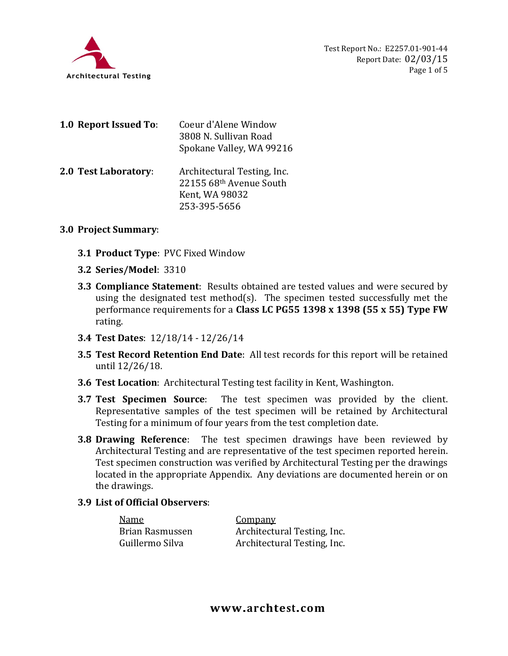

| 1.0 Report Issued To: | Coeur d'Alene Window<br>3808 N. Sullivan Road<br>Spokane Valley, WA 99216                |
|-----------------------|------------------------------------------------------------------------------------------|
| 2.0 Test Laboratory:  | Architectural Testing, Inc.<br>22155 68th Avenue South<br>Kent, WA 98032<br>253-395-5656 |

#### **3.0 Project Summary**:

- **3.1 Product Type**: PVC Fixed Window
- **3.2 Series/Model**: 3310
- **3.3 Compliance Statement**: Results obtained are tested values and were secured by using the designated test method(s). The specimen tested successfully met the performance requirements for a **Class LC PG55 1398 x 1398 (55 x 55) Type FW** rating.
- **3.4 Test Dates**: 12/18/14 12/26/14
- **3.5 Test Record Retention End Date**: All test records for this report will be retained until 12/26/18.
- **3.6 Test Location**: Architectural Testing test facility in Kent, Washington.
- **3.7 Test Specimen Source**: The test specimen was provided by the client. Representative samples of the test specimen will be retained by Architectural Testing for a minimum of four years from the test completion date.
- **3.8 Drawing Reference**: The test specimen drawings have been reviewed by Architectural Testing and are representative of the test specimen reported herein. Test specimen construction was verified by Architectural Testing per the drawings located in the appropriate Appendix. Any deviations are documented herein or on the drawings.

#### **3.9 List of Official Observers**:

| Name            | <b>Company</b>              |
|-----------------|-----------------------------|
| Brian Rasmussen | Architectural Testing, Inc. |
| Guillermo Silva | Architectural Testing, Inc. |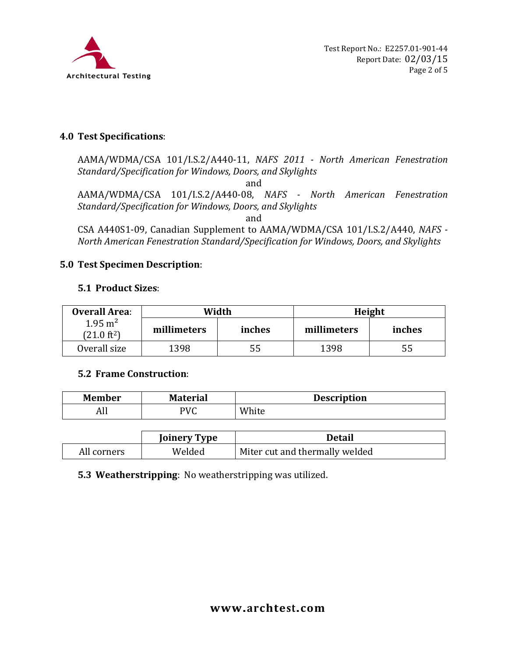

## **4.0 Test Specifications**:

AAMA/WDMA/CSA 101/I.S.2/A440-11, *NAFS 2011 - North American Fenestration Standard/Specification for Windows, Doors, and Skylights*

and

AAMA/WDMA/CSA 101/I.S.2/A440-08, *NAFS - North American Fenestration Standard/Specification for Windows, Doors, and Skylights*

and

CSA A440S1-09, Canadian Supplement to AAMA/WDMA/CSA 101/I.S.2/A440, *NAFS - North American Fenestration Standard/Specification for Windows, Doors, and Skylights*

## **5.0 Test Specimen Description**:

## **5.1 Product Sizes**:

| <b>Overall Area:</b>                        | Width       |        | Height      |        |
|---------------------------------------------|-------------|--------|-------------|--------|
| $1.95 \text{ m}^2$<br>$(21.0 \text{ ft}^2)$ | millimeters | inches | millimeters | inches |
| Overall size                                | 1398        | 55     | 1398        | 55     |

#### **5.2 Frame Construction**:

| <b>Member</b> | <b>Material</b> | <b>Description</b> |
|---------------|-----------------|--------------------|
| Ш<br>au.      | PVC             | White              |

|             | <b>Joinery Type</b> | <b>Detail</b>                  |
|-------------|---------------------|--------------------------------|
| All corners | Welded              | Miter cut and thermally welded |

#### **5.3 Weatherstripping**: No weatherstripping was utilized.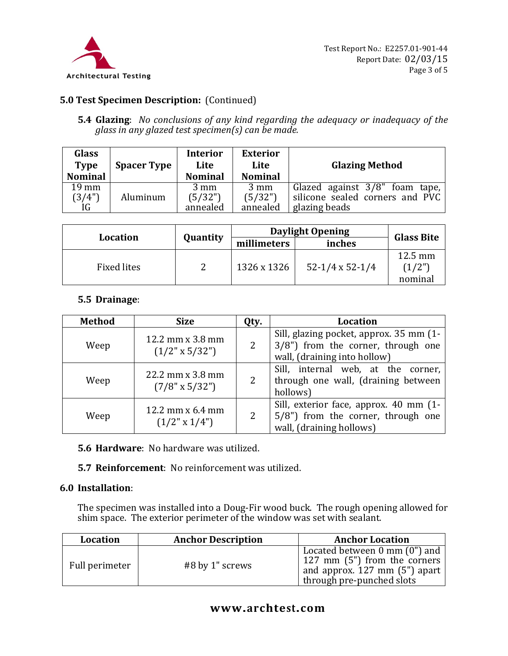

# **5.0 Test Specimen Description:** (Continued)

**5.4 Glazing**: *No conclusions of any kind regarding the adequacy or inadequacy of the glass in any glazed test specimen(s) can be made.*

| <b>Glass</b><br><b>Type</b><br><b>Nominal</b> | <b>Spacer Type</b> | <b>Interior</b><br>Lite<br><b>Nominal</b> | <b>Exterior</b><br>Lite<br><b>Nominal</b> | <b>Glazing Method</b>           |
|-----------------------------------------------|--------------------|-------------------------------------------|-------------------------------------------|---------------------------------|
| $19 \text{ mm}$                               | Aluminum           | $3 \text{ mm}$                            | $3 \text{ mm}$                            | Glazed against 3/8" foam tape,  |
| (3/4"                                         |                    | (5/32")                                   | (5/32")                                   | silicone sealed corners and PVC |
| IG                                            |                    | annealed                                  | annealed                                  | glazing beads                   |

|                                    |  | <b>Daylight Opening</b> |                        |                              |  |
|------------------------------------|--|-------------------------|------------------------|------------------------------|--|
| <b>Quantity</b><br><b>Location</b> |  | millimeters             | inches                 | <b>Glass Bite</b>            |  |
| <b>Fixed lites</b>                 |  | 1326 x 1326             | $52-1/4 \times 52-1/4$ | 12.5 mm<br>(1/2")<br>nominal |  |

#### **5.5 Drainage**:

| <b>Method</b> | <b>Size</b>                               | Qty. | <b>Location</b>                                                                                               |
|---------------|-------------------------------------------|------|---------------------------------------------------------------------------------------------------------------|
| Weep          | 12.2 mm x 3.8 mm<br>$(1/2" \times 5/32")$ |      | Sill, glazing pocket, approx. 35 mm (1-<br>3/8") from the corner, through one<br>wall, (draining into hollow) |
| Weep          | 22.2 mm x 3.8 mm<br>$(7/8" \times 5/32")$ |      | Sill, internal web, at the corner,<br>through one wall, (draining between<br>hollows)                         |
| Weep          | 12.2 mm x 6.4 mm<br>$(1/2" \times 1/4")$  |      | Sill, exterior face, approx. 40 mm (1-<br>5/8") from the corner, through one<br>wall, (draining hollows)      |

**5.6 Hardware**: No hardware was utilized.

**5.7 Reinforcement**: No reinforcement was utilized.

#### **6.0 Installation**:

The specimen was installed into a Doug-Fir wood buck. The rough opening allowed for shim space. The exterior perimeter of the window was set with sealant.

| Location       | <b>Anchor Description</b> | <b>Anchor Location</b>                                                                                                                |
|----------------|---------------------------|---------------------------------------------------------------------------------------------------------------------------------------|
| Full perimeter | #8 by 1" screws           | Located between $0 \text{ mm} (0")$ and<br>127 mm (5") from the corners<br>and approx. 127 mm (5") apart<br>through pre-punched slots |

## **www.archtest.com**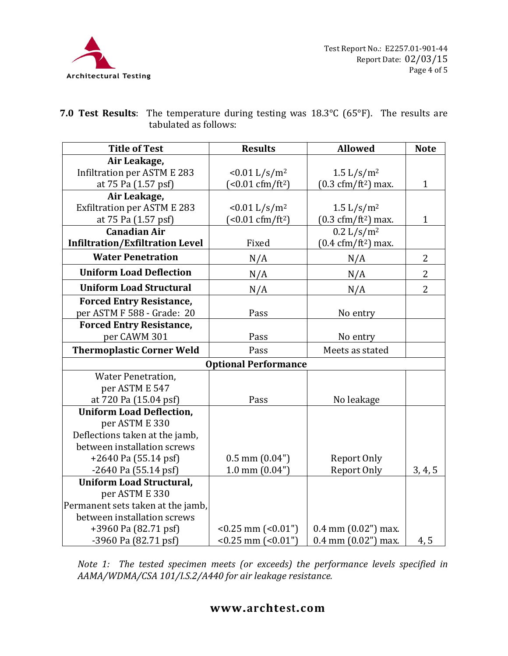

| <b>7.0 Test Results</b> : The temperature during testing was $18.3^{\circ}$ C (65 $^{\circ}$ F). The results are |  |
|------------------------------------------------------------------------------------------------------------------|--|
| tabulated as follows:                                                                                            |  |

| <b>Title of Test</b>                   | <b>Results</b>                   | <b>Allowed</b>                               | <b>Note</b>    |
|----------------------------------------|----------------------------------|----------------------------------------------|----------------|
| Air Leakage,                           |                                  |                                              |                |
| <b>Infiltration per ASTM E 283</b>     | $< 0.01$ L/s/m <sup>2</sup>      | $1.5 \frac{\text{L}}{\text{s}} / \text{m}^2$ |                |
| at 75 Pa (1.57 psf)                    | $(<0.01 \text{ cfm/ft}^2)$       | $(0.3 \text{ cfm}/\text{ft}^2)$ max.         | $\mathbf{1}$   |
| Air Leakage,                           |                                  |                                              |                |
| <b>Exfiltration per ASTM E 283</b>     | $< 0.01$ L/s/m <sup>2</sup>      | $1.5 \frac{\text{L}}{\text{s}} / \text{m}^2$ |                |
| at 75 Pa (1.57 psf)                    | $($ < 0.01 cfm/ft <sup>2</sup> ) | $(0.3 \text{ cfm}/\text{ft}^2)$ max.         | 1              |
| <b>Canadian Air</b>                    |                                  | 0.2 L/s/m <sup>2</sup>                       |                |
| <b>Infiltration/Exfiltration Level</b> | Fixed                            | $(0.4 \text{ cfm/ft}^2)$ max.                |                |
| <b>Water Penetration</b>               | N/A                              | N/A                                          | $\overline{2}$ |
| <b>Uniform Load Deflection</b>         | N/A                              | N/A                                          | $\overline{2}$ |
| <b>Uniform Load Structural</b>         | N/A                              | N/A                                          | $\overline{2}$ |
| <b>Forced Entry Resistance,</b>        |                                  |                                              |                |
| per ASTM F 588 - Grade: 20             | Pass                             | No entry                                     |                |
| <b>Forced Entry Resistance,</b>        |                                  |                                              |                |
| per CAWM 301                           | Pass                             | No entry                                     |                |
| <b>Thermoplastic Corner Weld</b>       | Pass                             | Meets as stated                              |                |
|                                        | <b>Optional Performance</b>      |                                              |                |
| <b>Water Penetration,</b>              |                                  |                                              |                |
| per ASTM E 547                         |                                  |                                              |                |
| at 720 Pa (15.04 psf)                  | Pass                             | No leakage                                   |                |
| <b>Uniform Load Deflection,</b>        |                                  |                                              |                |
| per ASTM E 330                         |                                  |                                              |                |
| Deflections taken at the jamb,         |                                  |                                              |                |
| between installation screws            |                                  |                                              |                |
| $+2640$ Pa (55.14 psf)                 | $0.5$ mm $(0.04")$               | Report Only                                  |                |
| -2640 Pa (55.14 psf)                   | $1.0$ mm $(0.04")$               | Report Only                                  | 3, 4, 5        |
| <b>Uniform Load Structural,</b>        |                                  |                                              |                |
| per ASTM E 330                         |                                  |                                              |                |
| Permanent sets taken at the jamb,      |                                  |                                              |                |
| between installation screws            |                                  |                                              |                |
| +3960 Pa (82.71 psf)                   | $< 0.25$ mm $(0.01)$             | $0.4$ mm $(0.02")$ max.                      |                |
| -3960 Pa (82.71 psf)                   | $< 0.25$ mm $(0.01)$             | $0.4$ mm $(0.02")$ max.                      | 4, 5           |



# **www.archtest.com**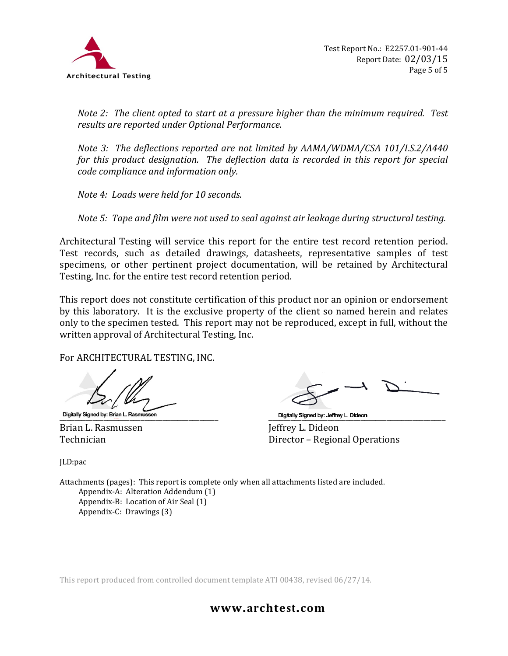

*Note 2: The client opted to start at a pressure higher than the minimum required. Test results are reported under Optional Performance.*

*Note 3: The deflections reported are not limited by AAMA/WDMA/CSA 101/I.S.2/A440 for this product designation. The deflection data is recorded in this report for special code compliance and information only.*

*Note 4: Loads were held for 10 seconds.*

*Note 5: Tape and film were not used to seal against air leakage during structural testing.* 

Architectural Testing will service this report for the entire test record retention period. Test records, such as detailed drawings, datasheets, representative samples of test specimens, or other pertinent project documentation, will be retained by Architectural Testing, Inc. for the entire test record retention period.

This report does not constitute certification of this product nor an opinion or endorsement by this laboratory. It is the exclusive property of the client so named herein and relates only to the specimen tested. This report may not be reproduced, except in full, without the written approval of Architectural Testing, Inc.

For ARCHITECTURAL TESTING, INC.

\_\_\_\_\_\_\_\_\_\_\_\_\_\_\_\_\_\_\_\_\_\_\_\_\_\_\_\_\_\_\_\_\_\_\_\_\_\_\_\_\_\_\_ \_\_\_\_\_\_\_\_\_\_\_\_\_\_\_\_\_\_\_\_\_\_\_\_\_\_\_\_\_\_\_\_\_\_\_\_\_\_\_\_\_\_\_\_\_\_\_\_

Brian L. Rasmussen<br>Technician

Director – Regional Operations

JLD:pac

Attachments (pages): This report is complete only when all attachments listed are included. Appendix-A: Alteration Addendum (1) Appendix-B: Location of Air Seal (1) Appendix-C: Drawings (3)

This report produced from controlled document template ATI 00438, revised 06/27/14.

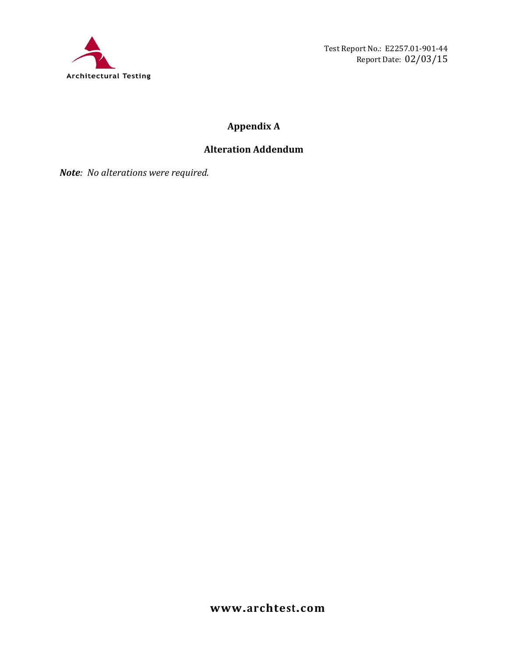

Test Report No.: E2257.01-901-44 Report Date: 02/03/15

# **Appendix A**

# **Alteration Addendum**

*Note: No alterations were required.*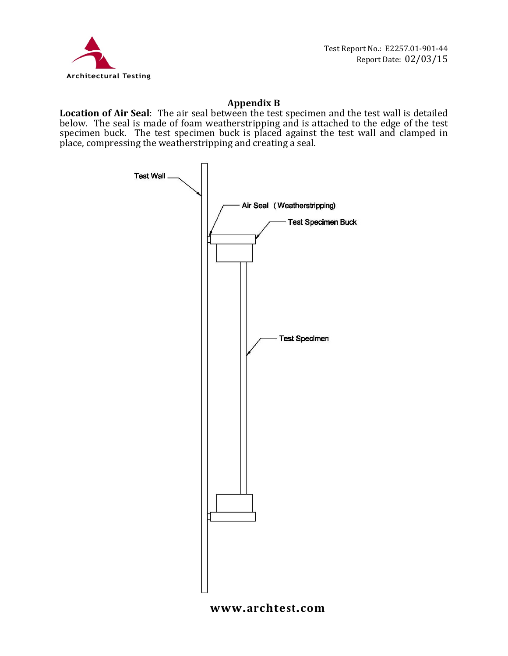

### **Appendix B**

**Location of Air Seal**: The air seal between the test specimen and the test wall is detailed below. The seal is made of foam weatherstripping and is attached to the edge of the test specimen buck. The test specimen buck is placed against the test wall and clamped in place, compressing the weatherstripping and creating a seal.



#### **www.archtest.com**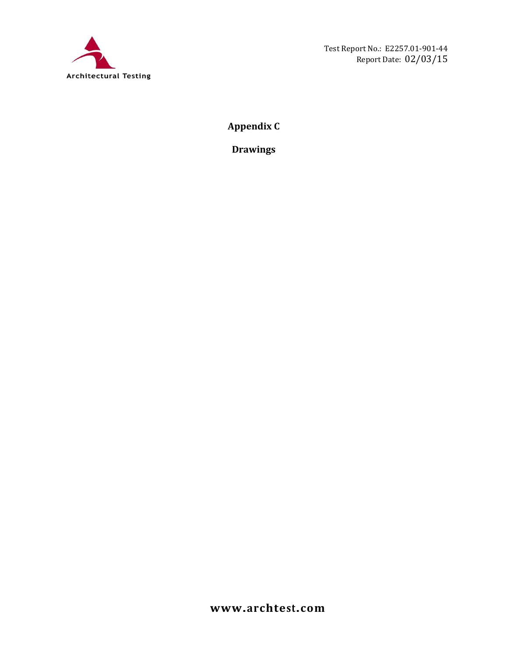

**Appendix C**

**Drawings**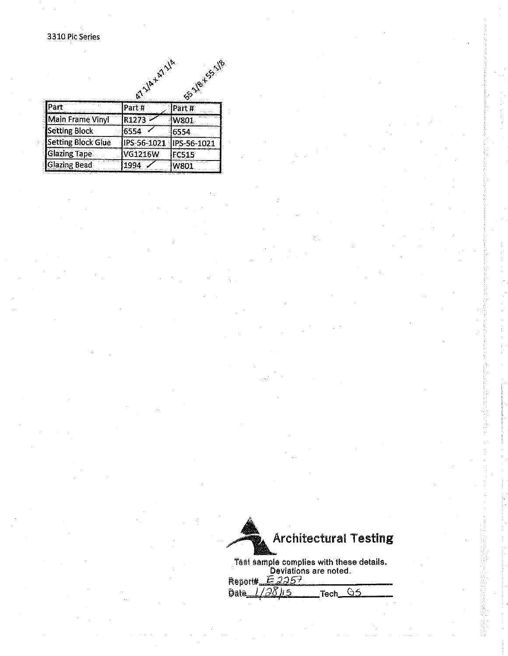# 3310 Pic Series

|                           | AVA+47VA       |                |
|---------------------------|----------------|----------------|
|                           |                | SS-118-155-178 |
| Part                      | Part#          | Part #         |
| <b>Main Frame Vinyl</b>   | R1273          | W801           |
| <b>Setting Block</b>      | 6554           | 6554           |
| <b>Setting Block Glue</b> | PS-56-1021     | IPS-56-1021    |
| <b>Glazing Tape</b>       | <b>VG1216W</b> | <b>FC515</b>   |
| <b>Glazing Bead</b>       | 1994           | W801           |

| <b>Architectural Testing</b>                                      |  |
|-------------------------------------------------------------------|--|
| Test sample complies with these details.<br>Deviations are noted. |  |

 $E2257$ Report#  $\overline{65}$ Date. \_Tech\_  $1/28$ 115

d<br>Su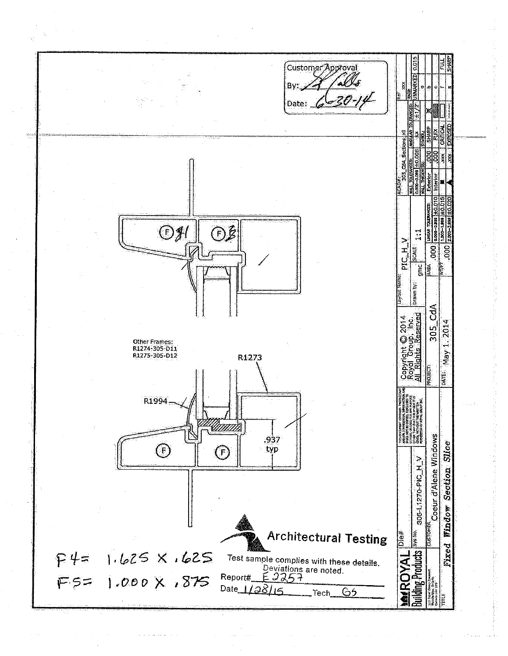Customer Approval Ws Bv: Date: Con\_Sections 90 ê E  $\bigoplus_{i=1}^{n}$ **①多** بر<br>پ PIC  $H_2$ SCALE  $\overline{\mathsf{go}}$  $\frac{1}{2}$ ∣≇<br>াই Drawn by:  $\frac{4}{3}$ Copyright © 2014<br>Royal Group, Inc.<br>All Rights Reserved 1.2014 305 Other Frames: R1274-305-D11<br>R1275-305-D12 Nay R1273 **ROJECT:** DATE: R1994 <u> UNITA</u> Coeur d'Alene Windows .937 Slice  $\bigodot$ typ  $\bigoplus$ 305-L1270-PIC\_H\_V Section Window **CUSTOMER Architectural Testing Building Products** System le#<br>⊡e Fixed  $F45$  1.625 X,625 **MAGKAL** Test sample complies with these details. Deviations are noted.<br> $E$  2257 FS= 1.000 X , 875 Report#\_ Date  $1/38/6$ ၆5 Tech שן<br>י